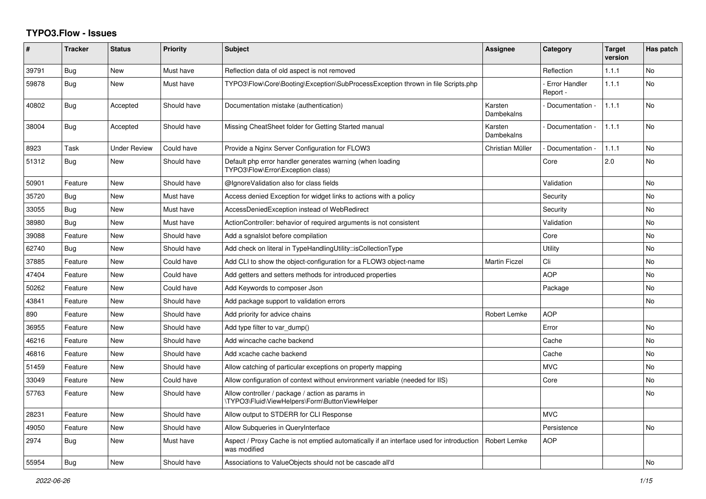## **TYPO3.Flow - Issues**

| ∦     | <b>Tracker</b> | <b>Status</b>       | <b>Priority</b> | <b>Subject</b>                                                                                          | <b>Assignee</b>       | <b>Category</b>                  | <b>Target</b><br>version | Has patch      |
|-------|----------------|---------------------|-----------------|---------------------------------------------------------------------------------------------------------|-----------------------|----------------------------------|--------------------------|----------------|
| 39791 | <b>Bug</b>     | <b>New</b>          | Must have       | Reflection data of old aspect is not removed                                                            |                       | Reflection                       | 1.1.1                    | <b>No</b>      |
| 59878 | Bug            | <b>New</b>          | Must have       | TYPO3\Flow\Core\Booting\Exception\SubProcessException thrown in file Scripts.php                        |                       | <b>Error Handler</b><br>Report - | 1.1.1                    | N <sub>o</sub> |
| 40802 | Bug            | Accepted            | Should have     | Documentation mistake (authentication)                                                                  | Karsten<br>Dambekalns | Documentation -                  | 1.1.1                    | <b>No</b>      |
| 38004 | Bug            | Accepted            | Should have     | Missing CheatSheet folder for Getting Started manual                                                    | Karsten<br>Dambekalns | Documentation -                  | 1.1.1                    | <b>No</b>      |
| 8923  | Task           | <b>Under Review</b> | Could have      | Provide a Nginx Server Configuration for FLOW3                                                          | Christian Müller      | Documentation -                  | 1.1.1                    | N <sub>o</sub> |
| 51312 | Bug            | <b>New</b>          | Should have     | Default php error handler generates warning (when loading<br>TYPO3\Flow\Error\Exception class)          |                       | Core                             | 2.0                      | No             |
| 50901 | Feature        | <b>New</b>          | Should have     | @IgnoreValidation also for class fields                                                                 |                       | Validation                       |                          | N <sub>o</sub> |
| 35720 | Bug            | <b>New</b>          | Must have       | Access denied Exception for widget links to actions with a policy                                       |                       | Security                         |                          | N <sub>o</sub> |
| 33055 | Bug            | New                 | Must have       | AccessDeniedException instead of WebRedirect                                                            |                       | Security                         |                          | N <sub>o</sub> |
| 38980 | Bug            | <b>New</b>          | Must have       | ActionController: behavior of required arguments is not consistent                                      |                       | Validation                       |                          | No             |
| 39088 | Feature        | <b>New</b>          | Should have     | Add a sgnalslot before compilation                                                                      |                       | Core                             |                          | No             |
| 62740 | <b>Bug</b>     | <b>New</b>          | Should have     | Add check on literal in TypeHandlingUtility::isCollectionType                                           |                       | Utility                          |                          | N <sub>o</sub> |
| 37885 | Feature        | <b>New</b>          | Could have      | Add CLI to show the object-configuration for a FLOW3 object-name                                        | <b>Martin Ficzel</b>  | Cli                              |                          | N <sub>o</sub> |
| 47404 | Feature        | <b>New</b>          | Could have      | Add getters and setters methods for introduced properties                                               |                       | <b>AOP</b>                       |                          | No             |
| 50262 | Feature        | <b>New</b>          | Could have      | Add Keywords to composer Json                                                                           |                       | Package                          |                          | No             |
| 43841 | Feature        | <b>New</b>          | Should have     | Add package support to validation errors                                                                |                       |                                  |                          | <b>No</b>      |
| 890   | Feature        | <b>New</b>          | Should have     | Add priority for advice chains                                                                          | Robert Lemke          | <b>AOP</b>                       |                          |                |
| 36955 | Feature        | <b>New</b>          | Should have     | Add type filter to var dump()                                                                           |                       | Error                            |                          | No.            |
| 46216 | Feature        | <b>New</b>          | Should have     | Add wincache cache backend                                                                              |                       | Cache                            |                          | No             |
| 46816 | Feature        | <b>New</b>          | Should have     | Add xcache cache backend                                                                                |                       | Cache                            |                          | No             |
| 51459 | Feature        | <b>New</b>          | Should have     | Allow catching of particular exceptions on property mapping                                             |                       | <b>MVC</b>                       |                          | N <sub>o</sub> |
| 33049 | Feature        | <b>New</b>          | Could have      | Allow configuration of context without environment variable (needed for IIS)                            |                       | Core                             |                          | No             |
| 57763 | Feature        | <b>New</b>          | Should have     | Allow controller / package / action as params in<br>\TYPO3\Fluid\ViewHelpers\Form\ButtonViewHelper      |                       |                                  |                          | No             |
| 28231 | Feature        | <b>New</b>          | Should have     | Allow output to STDERR for CLI Response                                                                 |                       | <b>MVC</b>                       |                          |                |
| 49050 | Feature        | <b>New</b>          | Should have     | Allow Subqueries in QueryInterface                                                                      |                       | Persistence                      |                          | No             |
| 2974  | Bug            | <b>New</b>          | Must have       | Aspect / Proxy Cache is not emptied automatically if an interface used for introduction<br>was modified | Robert Lemke          | <b>AOP</b>                       |                          |                |
| 55954 | <b>Bug</b>     | <b>New</b>          | Should have     | Associations to ValueObjects should not be cascade all'd                                                |                       |                                  |                          | <b>No</b>      |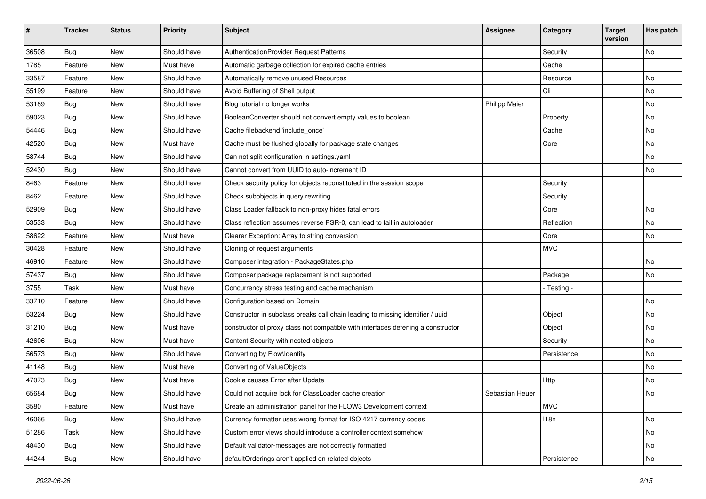| #     | <b>Tracker</b> | <b>Status</b> | <b>Priority</b> | Subject                                                                          | Assignee             | Category    | <b>Target</b><br>version | Has patch |
|-------|----------------|---------------|-----------------|----------------------------------------------------------------------------------|----------------------|-------------|--------------------------|-----------|
| 36508 | Bug            | New           | Should have     | AuthenticationProvider Request Patterns                                          |                      | Security    |                          | No        |
| 1785  | Feature        | New           | Must have       | Automatic garbage collection for expired cache entries                           |                      | Cache       |                          |           |
| 33587 | Feature        | New           | Should have     | Automatically remove unused Resources                                            |                      | Resource    |                          | No        |
| 55199 | Feature        | New           | Should have     | Avoid Buffering of Shell output                                                  |                      | Cli         |                          | No        |
| 53189 | Bug            | New           | Should have     | Blog tutorial no longer works                                                    | <b>Philipp Maier</b> |             |                          | No        |
| 59023 | Bug            | New           | Should have     | BooleanConverter should not convert empty values to boolean                      |                      | Property    |                          | No        |
| 54446 | <b>Bug</b>     | New           | Should have     | Cache filebackend 'include once'                                                 |                      | Cache       |                          | No        |
| 42520 | Bug            | New           | Must have       | Cache must be flushed globally for package state changes                         |                      | Core        |                          | No        |
| 58744 | Bug            | New           | Should have     | Can not split configuration in settings.yaml                                     |                      |             |                          | No        |
| 52430 | <b>Bug</b>     | New           | Should have     | Cannot convert from UUID to auto-increment ID                                    |                      |             |                          | No        |
| 8463  | Feature        | New           | Should have     | Check security policy for objects reconstituted in the session scope             |                      | Security    |                          |           |
| 8462  | Feature        | New           | Should have     | Check subobjects in query rewriting                                              |                      | Security    |                          |           |
| 52909 | Bug            | New           | Should have     | Class Loader fallback to non-proxy hides fatal errors                            |                      | Core        |                          | No        |
| 53533 | Bug            | New           | Should have     | Class reflection assumes reverse PSR-0, can lead to fail in autoloader           |                      | Reflection  |                          | No        |
| 58622 | Feature        | New           | Must have       | Clearer Exception: Array to string conversion                                    |                      | Core        |                          | No        |
| 30428 | Feature        | New           | Should have     | Cloning of request arguments                                                     |                      | <b>MVC</b>  |                          |           |
| 46910 | Feature        | New           | Should have     | Composer integration - PackageStates.php                                         |                      |             |                          | No        |
| 57437 | <b>Bug</b>     | New           | Should have     | Composer package replacement is not supported                                    |                      | Package     |                          | No        |
| 3755  | Task           | New           | Must have       | Concurrency stress testing and cache mechanism                                   |                      | - Testing - |                          |           |
| 33710 | Feature        | New           | Should have     | Configuration based on Domain                                                    |                      |             |                          | No        |
| 53224 | <b>Bug</b>     | New           | Should have     | Constructor in subclass breaks call chain leading to missing identifier / uuid   |                      | Object      |                          | No        |
| 31210 | Bug            | New           | Must have       | constructor of proxy class not compatible with interfaces defening a constructor |                      | Object      |                          | No        |
| 42606 | <b>Bug</b>     | New           | Must have       | Content Security with nested objects                                             |                      | Security    |                          | No        |
| 56573 | Bug            | New           | Should have     | Converting by Flow\Identity                                                      |                      | Persistence |                          | <b>No</b> |
| 41148 | <b>Bug</b>     | New           | Must have       | Converting of ValueObjects                                                       |                      |             |                          | No        |
| 47073 | <b>Bug</b>     | New           | Must have       | Cookie causes Error after Update                                                 |                      | Http        |                          | No        |
| 65684 | Bug            | New           | Should have     | Could not acquire lock for ClassLoader cache creation                            | Sebastian Heuer      |             |                          | No        |
| 3580  | Feature        | New           | Must have       | Create an administration panel for the FLOW3 Development context                 |                      | <b>MVC</b>  |                          |           |
| 46066 | <b>Bug</b>     | New           | Should have     | Currency formatter uses wrong format for ISO 4217 currency codes                 |                      | 118n        |                          | No        |
| 51286 | Task           | New           | Should have     | Custom error views should introduce a controller context somehow                 |                      |             |                          | No        |
| 48430 | Bug            | New           | Should have     | Default validator-messages are not correctly formatted                           |                      |             |                          | No        |
| 44244 | <b>Bug</b>     | New           | Should have     | defaultOrderings aren't applied on related objects                               |                      | Persistence |                          | No        |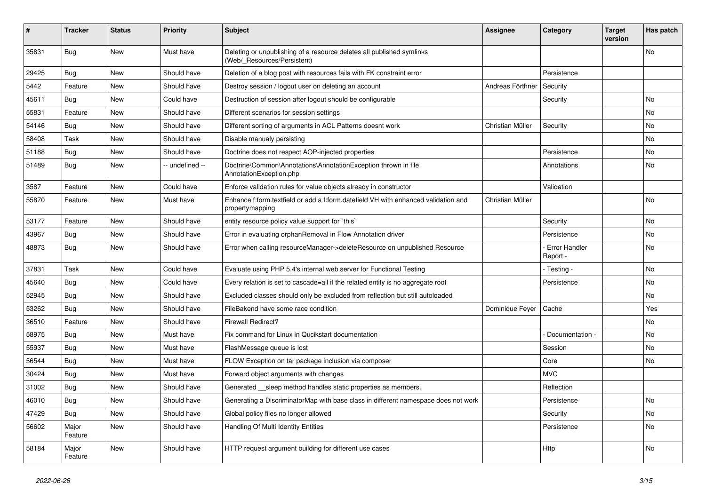| #     | <b>Tracker</b>   | <b>Status</b> | <b>Priority</b> | <b>Subject</b>                                                                                        | <b>Assignee</b>  | Category                         | Target<br>version | Has patch |
|-------|------------------|---------------|-----------------|-------------------------------------------------------------------------------------------------------|------------------|----------------------------------|-------------------|-----------|
| 35831 | <b>Bug</b>       | <b>New</b>    | Must have       | Deleting or unpublishing of a resource deletes all published symlinks<br>(Web/_Resources/Persistent)  |                  |                                  |                   | No        |
| 29425 | <b>Bug</b>       | <b>New</b>    | Should have     | Deletion of a blog post with resources fails with FK constraint error                                 |                  | Persistence                      |                   |           |
| 5442  | Feature          | <b>New</b>    | Should have     | Destroy session / logout user on deleting an account                                                  | Andreas Förthner | Security                         |                   |           |
| 45611 | Bug              | <b>New</b>    | Could have      | Destruction of session after logout should be configurable                                            |                  | Security                         |                   | <b>No</b> |
| 55831 | Feature          | New           | Should have     | Different scenarios for session settings                                                              |                  |                                  |                   | No        |
| 54146 | Bug              | <b>New</b>    | Should have     | Different sorting of arguments in ACL Patterns doesnt work                                            | Christian Müller | Security                         |                   | No        |
| 58408 | Task             | <b>New</b>    | Should have     | Disable manualy persisting                                                                            |                  |                                  |                   | No        |
| 51188 | Bug              | New           | Should have     | Doctrine does not respect AOP-injected properties                                                     |                  | Persistence                      |                   | No        |
| 51489 | <b>Bug</b>       | New           | -- undefined -- | Doctrine\Common\Annotations\AnnotationException thrown in file<br>AnnotationException.php             |                  | Annotations                      |                   | No        |
| 3587  | Feature          | <b>New</b>    | Could have      | Enforce validation rules for value objects already in constructor                                     |                  | Validation                       |                   |           |
| 55870 | Feature          | <b>New</b>    | Must have       | Enhance f:form.textfield or add a f:form.datefield VH with enhanced validation and<br>propertymapping | Christian Müller |                                  |                   | <b>No</b> |
| 53177 | Feature          | <b>New</b>    | Should have     | entity resource policy value support for `this`                                                       |                  | Security                         |                   | No        |
| 43967 | <b>Bug</b>       | <b>New</b>    | Should have     | Error in evaluating orphanRemoval in Flow Annotation driver                                           |                  | Persistence                      |                   | No        |
| 48873 | <b>Bug</b>       | <b>New</b>    | Should have     | Error when calling resourceManager->deleteResource on unpublished Resource                            |                  | <b>Error Handler</b><br>Report - |                   | No        |
| 37831 | Task             | <b>New</b>    | Could have      | Evaluate using PHP 5.4's internal web server for Functional Testing                                   |                  | - Testing ·                      |                   | No.       |
| 45640 | <b>Bug</b>       | New           | Could have      | Every relation is set to cascade=all if the related entity is no aggregate root                       |                  | Persistence                      |                   | No.       |
| 52945 | Bug              | <b>New</b>    | Should have     | Excluded classes should only be excluded from reflection but still autoloaded                         |                  |                                  |                   | No        |
| 53262 | Bug              | New           | Should have     | FileBakend have some race condition                                                                   | Dominique Feyer  | Cache                            |                   | Yes       |
| 36510 | Feature          | <b>New</b>    | Should have     | <b>Firewall Redirect?</b>                                                                             |                  |                                  |                   | No        |
| 58975 | <b>Bug</b>       | <b>New</b>    | Must have       | Fix command for Linux in Qucikstart documentation                                                     |                  | Documentation -                  |                   | No        |
| 55937 | <b>Bug</b>       | <b>New</b>    | Must have       | FlashMessage queue is lost                                                                            |                  | Session                          |                   | No        |
| 56544 | <b>Bug</b>       | New           | Must have       | FLOW Exception on tar package inclusion via composer                                                  |                  | Core                             |                   | No        |
| 30424 | <b>Bug</b>       | New           | Must have       | Forward object arguments with changes                                                                 |                  | <b>MVC</b>                       |                   |           |
| 31002 | Bug              | New           | Should have     | Generated sleep method handles static properties as members.                                          |                  | Reflection                       |                   |           |
| 46010 | Bug              | <b>New</b>    | Should have     | Generating a DiscriminatorMap with base class in different namespace does not work                    |                  | Persistence                      |                   | <b>No</b> |
| 47429 | Bug              | New           | Should have     | Global policy files no longer allowed                                                                 |                  | Security                         |                   | No.       |
| 56602 | Major<br>Feature | <b>New</b>    | Should have     | Handling Of Multi Identity Entities                                                                   |                  | Persistence                      |                   | No        |
| 58184 | Major<br>Feature | <b>New</b>    | Should have     | HTTP request argument building for different use cases                                                |                  | Http                             |                   | <b>No</b> |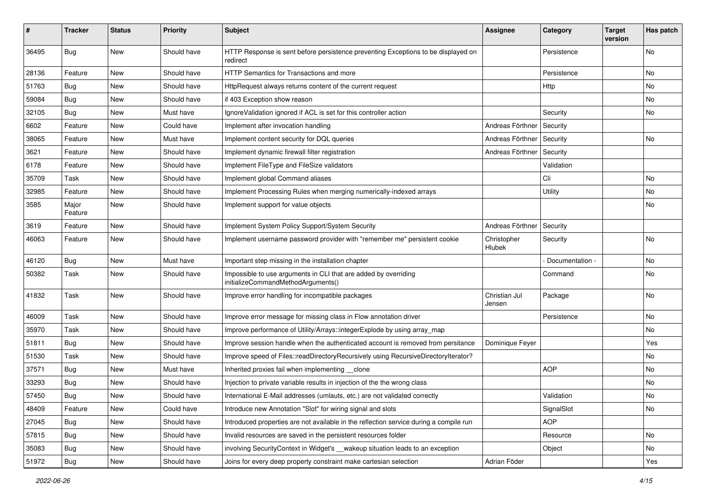| ∦     | <b>Tracker</b>   | <b>Status</b> | <b>Priority</b> | Subject                                                                                               | <b>Assignee</b>         | Category        | <b>Target</b><br>version | Has patch |
|-------|------------------|---------------|-----------------|-------------------------------------------------------------------------------------------------------|-------------------------|-----------------|--------------------------|-----------|
| 36495 | Bug              | New           | Should have     | HTTP Response is sent before persistence preventing Exceptions to be displayed on<br>redirect         |                         | Persistence     |                          | No        |
| 28136 | Feature          | New           | Should have     | <b>HTTP Semantics for Transactions and more</b>                                                       |                         | Persistence     |                          | No        |
| 51763 | Bug              | New           | Should have     | HttpRequest always returns content of the current request                                             |                         | Http            |                          | No        |
| 59084 | <b>Bug</b>       | New           | Should have     | if 403 Exception show reason                                                                          |                         |                 |                          | No        |
| 32105 | <b>Bug</b>       | New           | Must have       | IgnoreValidation ignored if ACL is set for this controller action                                     |                         | Security        |                          | No        |
| 6602  | Feature          | New           | Could have      | Implement after invocation handling                                                                   | Andreas Förthner        | Security        |                          |           |
| 38065 | Feature          | New           | Must have       | Implement content security for DQL queries                                                            | Andreas Förthner        | Security        |                          | No        |
| 3621  | Feature          | New           | Should have     | Implement dynamic firewall filter registration                                                        | Andreas Förthner        | Security        |                          |           |
| 6178  | Feature          | New           | Should have     | Implement FileType and FileSize validators                                                            |                         | Validation      |                          |           |
| 35709 | Task             | New           | Should have     | Implement global Command aliases                                                                      |                         | Cli             |                          | No        |
| 32985 | Feature          | <b>New</b>    | Should have     | Implement Processing Rules when merging numerically-indexed arrays                                    |                         | Utility         |                          | No        |
| 3585  | Major<br>Feature | New           | Should have     | Implement support for value objects                                                                   |                         |                 |                          | No        |
| 3619  | Feature          | New           | Should have     | Implement System Policy Support/System Security                                                       | Andreas Förthner        | Security        |                          |           |
| 46063 | Feature          | New           | Should have     | Implement username password provider with "remember me" persistent cookie                             | Christopher<br>Hlubek   | Security        |                          | <b>No</b> |
| 46120 | Bug              | New           | Must have       | Important step missing in the installation chapter                                                    |                         | Documentation - |                          | No        |
| 50382 | Task             | New           | Should have     | Impossible to use arguments in CLI that are added by overriding<br>initializeCommandMethodArguments() |                         | Command         |                          | No        |
| 41832 | Task             | New           | Should have     | Improve error handling for incompatible packages                                                      | Christian Jul<br>Jensen | Package         |                          | No        |
| 46009 | Task             | New           | Should have     | Improve error message for missing class in Flow annotation driver                                     |                         | Persistence     |                          | No        |
| 35970 | Task             | New           | Should have     | Improve performance of Utility/Arrays::integerExplode by using array_map                              |                         |                 |                          | No        |
| 51811 | Bug              | New           | Should have     | Improve session handle when the authenticated account is removed from persitance                      | Dominique Feyer         |                 |                          | Yes       |
| 51530 | Task             | New           | Should have     | Improve speed of Files::readDirectoryRecursively using RecursiveDirectoryIterator?                    |                         |                 |                          | No        |
| 37571 | <b>Bug</b>       | New           | Must have       | Inherited proxies fail when implementing clone                                                        |                         | <b>AOP</b>      |                          | No        |
| 33293 | Bug              | New           | Should have     | Injection to private variable results in injection of the the wrong class                             |                         |                 |                          | No        |
| 57450 | Bug              | New           | Should have     | International E-Mail addresses (umlauts, etc.) are not validated correctly                            |                         | Validation      |                          | No        |
| 48409 | Feature          | New           | Could have      | Introduce new Annotation "Slot" for wiring signal and slots                                           |                         | SignalSlot      |                          | No        |
| 27045 | Bug              | New           | Should have     | Introduced properties are not available in the reflection service during a compile run                |                         | <b>AOP</b>      |                          |           |
| 57815 | <b>Bug</b>       | New           | Should have     | Invalid resources are saved in the persistent resources folder                                        |                         | Resource        |                          | No        |
| 35083 | Bug              | New           | Should have     | involving SecurityContext in Widget's __wakeup situation leads to an exception                        |                         | Object          |                          | No        |
| 51972 | Bug              | New           | Should have     | Joins for every deep property constraint make cartesian selection                                     | Adrian Föder            |                 |                          | Yes       |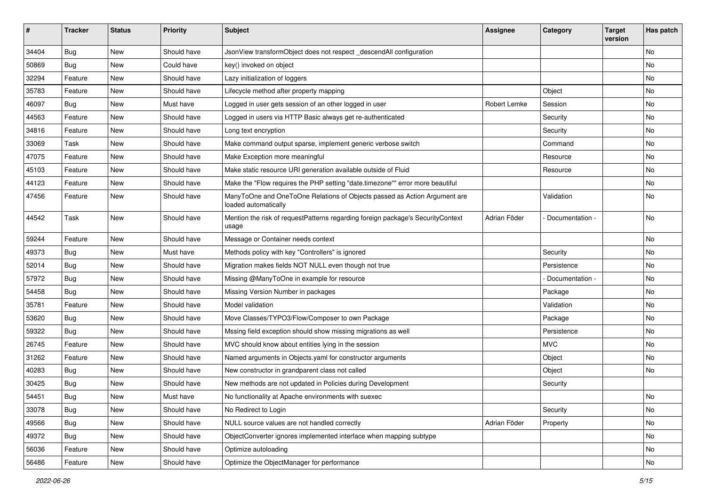| #     | <b>Tracker</b> | <b>Status</b> | <b>Priority</b> | Subject                                                                                           | <b>Assignee</b> | Category        | <b>Target</b><br>version | Has patch |
|-------|----------------|---------------|-----------------|---------------------------------------------------------------------------------------------------|-----------------|-----------------|--------------------------|-----------|
| 34404 | Bug            | New           | Should have     | JsonView transformObject does not respect_descendAll configuration                                |                 |                 |                          | No        |
| 50869 | <b>Bug</b>     | New           | Could have      | key() invoked on object                                                                           |                 |                 |                          | No        |
| 32294 | Feature        | New           | Should have     | Lazy initialization of loggers                                                                    |                 |                 |                          | No        |
| 35783 | Feature        | New           | Should have     | Lifecycle method after property mapping                                                           |                 | Object          |                          | No        |
| 46097 | <b>Bug</b>     | New           | Must have       | Logged in user gets session of an other logged in user                                            | Robert Lemke    | Session         |                          | No        |
| 44563 | Feature        | New           | Should have     | Logged in users via HTTP Basic always get re-authenticated                                        |                 | Security        |                          | No        |
| 34816 | Feature        | New           | Should have     | Long text encryption                                                                              |                 | Security        |                          | No        |
| 33069 | Task           | New           | Should have     | Make command output sparse, implement generic verbose switch                                      |                 | Command         |                          | No        |
| 47075 | Feature        | New           | Should have     | Make Exception more meaningful                                                                    |                 | Resource        |                          | No        |
| 45103 | Feature        | New           | Should have     | Make static resource URI generation available outside of Fluid                                    |                 | Resource        |                          | No        |
| 44123 | Feature        | New           | Should have     | Make the "Flow requires the PHP setting "date.timezone"" error more beautiful                     |                 |                 |                          | <b>No</b> |
| 47456 | Feature        | New           | Should have     | ManyToOne and OneToOne Relations of Objects passed as Action Argument are<br>loaded automatically |                 | Validation      |                          | No        |
| 44542 | Task           | New           | Should have     | Mention the risk of requestPatterns regarding foreign package's SecurityContext<br>usage          | Adrian Föder    | Documentation - |                          | No        |
| 59244 | Feature        | New           | Should have     | Message or Container needs context                                                                |                 |                 |                          | No        |
| 49373 | Bug            | New           | Must have       | Methods policy with key "Controllers" is ignored                                                  |                 | Security        |                          | No        |
| 52014 | <b>Bug</b>     | New           | Should have     | Migration makes fields NOT NULL even though not true                                              |                 | Persistence     |                          | No        |
| 57972 | <b>Bug</b>     | New           | Should have     | Missing @ManyToOne in example for resource                                                        |                 | Documentation - |                          | <b>No</b> |
| 54458 | <b>Bug</b>     | New           | Should have     | Missing Version Number in packages                                                                |                 | Package         |                          | No        |
| 35781 | Feature        | New           | Should have     | Model validation                                                                                  |                 | Validation      |                          | No        |
| 53620 | Bug            | New           | Should have     | Move Classes/TYPO3/Flow/Composer to own Package                                                   |                 | Package         |                          | No        |
| 59322 | <b>Bug</b>     | New           | Should have     | Mssing field exception should show missing migrations as well                                     |                 | Persistence     |                          | No        |
| 26745 | Feature        | New           | Should have     | MVC should know about entities lying in the session                                               |                 | <b>MVC</b>      |                          | No        |
| 31262 | Feature        | New           | Should have     | Named arguments in Objects.yaml for constructor arguments                                         |                 | Object          |                          | No        |
| 40283 | <b>Bug</b>     | New           | Should have     | New constructor in grandparent class not called                                                   |                 | Object          |                          | <b>No</b> |
| 30425 | Bug            | New           | Should have     | New methods are not updated in Policies during Development                                        |                 | Security        |                          |           |
| 54451 | Bug            | New           | Must have       | No functionality at Apache environments with suexec                                               |                 |                 |                          | No        |
| 33078 | <b>Bug</b>     | New           | Should have     | No Redirect to Login                                                                              |                 | Security        |                          | No        |
| 49566 | <b>Bug</b>     | New           | Should have     | NULL source values are not handled correctly                                                      | Adrian Föder    | Property        |                          | No        |
| 49372 | Bug            | New           | Should have     | ObjectConverter ignores implemented interface when mapping subtype                                |                 |                 |                          | No        |
| 56036 | Feature        | New           | Should have     | Optimize autoloading                                                                              |                 |                 |                          | No        |
| 56486 | Feature        | New           | Should have     | Optimize the ObjectManager for performance                                                        |                 |                 |                          | No        |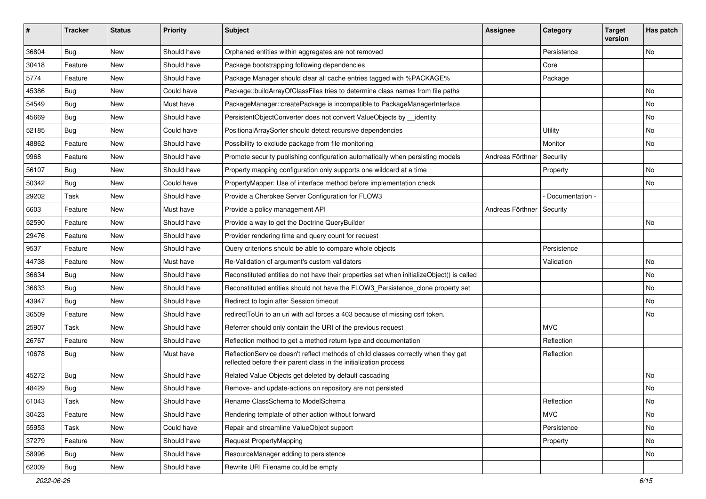| #     | <b>Tracker</b> | <b>Status</b> | <b>Priority</b> | <b>Subject</b>                                                                                                                                          | <b>Assignee</b>  | Category        | <b>Target</b><br>version | Has patch |
|-------|----------------|---------------|-----------------|---------------------------------------------------------------------------------------------------------------------------------------------------------|------------------|-----------------|--------------------------|-----------|
| 36804 | <b>Bug</b>     | New           | Should have     | Orphaned entities within aggregates are not removed                                                                                                     |                  | Persistence     |                          | No        |
| 30418 | Feature        | New           | Should have     | Package bootstrapping following dependencies                                                                                                            |                  | Core            |                          |           |
| 5774  | Feature        | New           | Should have     | Package Manager should clear all cache entries tagged with %PACKAGE%                                                                                    |                  | Package         |                          |           |
| 45386 | <b>Bug</b>     | New           | Could have      | Package::buildArrayOfClassFiles tries to determine class names from file paths                                                                          |                  |                 |                          | <b>No</b> |
| 54549 | Bug            | New           | Must have       | PackageManager::createPackage is incompatible to PackageManagerInterface                                                                                |                  |                 |                          | No        |
| 45669 | <b>Bug</b>     | <b>New</b>    | Should have     | PersistentObjectConverter does not convert ValueObjects by __identity                                                                                   |                  |                 |                          | <b>No</b> |
| 52185 | <b>Bug</b>     | New           | Could have      | PositionalArraySorter should detect recursive dependencies                                                                                              |                  | <b>Utility</b>  |                          | No        |
| 48862 | Feature        | New           | Should have     | Possibility to exclude package from file monitoring                                                                                                     |                  | Monitor         |                          | No        |
| 9968  | Feature        | New           | Should have     | Promote security publishing configuration automatically when persisting models                                                                          | Andreas Förthner | Security        |                          |           |
| 56107 | <b>Bug</b>     | New           | Should have     | Property mapping configuration only supports one wildcard at a time                                                                                     |                  | Property        |                          | <b>No</b> |
| 50342 | Bug            | New           | Could have      | PropertyMapper: Use of interface method before implementation check                                                                                     |                  |                 |                          | No        |
| 29202 | Task           | New           | Should have     | Provide a Cherokee Server Configuration for FLOW3                                                                                                       |                  | Documentation - |                          |           |
| 6603  | Feature        | New           | Must have       | Provide a policy management API                                                                                                                         | Andreas Förthner | Security        |                          |           |
| 52590 | Feature        | New           | Should have     | Provide a way to get the Doctrine QueryBuilder                                                                                                          |                  |                 |                          | No        |
| 29476 | Feature        | New           | Should have     | Provider rendering time and query count for request                                                                                                     |                  |                 |                          |           |
| 9537  | Feature        | New           | Should have     | Query criterions should be able to compare whole objects                                                                                                |                  | Persistence     |                          |           |
| 44738 | Feature        | New           | Must have       | Re-Validation of argument's custom validators                                                                                                           |                  | Validation      |                          | No        |
| 36634 | <b>Bug</b>     | New           | Should have     | Reconstituted entities do not have their properties set when initializeObject() is called                                                               |                  |                 |                          | No        |
| 36633 | <b>Bug</b>     | New           | Should have     | Reconstituted entities should not have the FLOW3_Persistence_clone property set                                                                         |                  |                 |                          | <b>No</b> |
| 43947 | <b>Bug</b>     | New           | Should have     | Redirect to login after Session timeout                                                                                                                 |                  |                 |                          | No        |
| 36509 | Feature        | New           | Should have     | redirectToUri to an uri with acl forces a 403 because of missing csrf token.                                                                            |                  |                 |                          | No        |
| 25907 | Task           | New           | Should have     | Referrer should only contain the URI of the previous request                                                                                            |                  | <b>MVC</b>      |                          |           |
| 26767 | Feature        | New           | Should have     | Reflection method to get a method return type and documentation                                                                                         |                  | Reflection      |                          |           |
| 10678 | <b>Bug</b>     | New           | Must have       | ReflectionService doesn't reflect methods of child classes correctly when they get<br>reflected before their parent class in the initialization process |                  | Reflection      |                          |           |
| 45272 | <b>Bug</b>     | New           | Should have     | Related Value Objects get deleted by default cascading                                                                                                  |                  |                 |                          | No        |
| 48429 | Bug            | New           | Should have     | Remove- and update-actions on repository are not persisted                                                                                              |                  |                 |                          | No        |
| 61043 | Task           | New           | Should have     | Rename ClassSchema to ModelSchema                                                                                                                       |                  | Reflection      |                          | No        |
| 30423 | Feature        | New           | Should have     | Rendering template of other action without forward                                                                                                      |                  | <b>MVC</b>      |                          | No        |
| 55953 | Task           | New           | Could have      | Repair and streamline ValueObject support                                                                                                               |                  | Persistence     |                          | No        |
| 37279 | Feature        | New           | Should have     | <b>Request PropertyMapping</b>                                                                                                                          |                  | Property        |                          | No        |
| 58996 | Bug            | New           | Should have     | ResourceManager adding to persistence                                                                                                                   |                  |                 |                          | No        |
| 62009 | Bug            | New           | Should have     | Rewrite URI Filename could be empty                                                                                                                     |                  |                 |                          |           |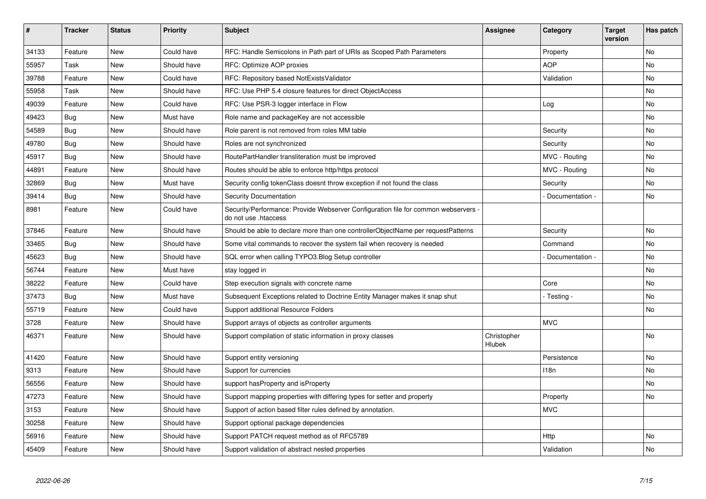| #     | <b>Tracker</b> | <b>Status</b> | <b>Priority</b> | <b>Subject</b>                                                                                             | <b>Assignee</b>       | Category         | <b>Target</b><br>version | Has patch      |
|-------|----------------|---------------|-----------------|------------------------------------------------------------------------------------------------------------|-----------------------|------------------|--------------------------|----------------|
| 34133 | Feature        | <b>New</b>    | Could have      | RFC: Handle Semicolons in Path part of URIs as Scoped Path Parameters                                      |                       | Property         |                          | N <sub>o</sub> |
| 55957 | Task           | New           | Should have     | RFC: Optimize AOP proxies                                                                                  |                       | <b>AOP</b>       |                          | No             |
| 39788 | Feature        | New           | Could have      | RFC: Repository based NotExistsValidator                                                                   |                       | Validation       |                          | No             |
| 55958 | Task           | <b>New</b>    | Should have     | RFC: Use PHP 5.4 closure features for direct ObjectAccess                                                  |                       |                  |                          | No             |
| 49039 | Feature        | New           | Could have      | RFC: Use PSR-3 logger interface in Flow                                                                    |                       | Log              |                          | No             |
| 49423 | Bug            | <b>New</b>    | Must have       | Role name and packageKey are not accessible                                                                |                       |                  |                          | No             |
| 54589 | <b>Bug</b>     | <b>New</b>    | Should have     | Role parent is not removed from roles MM table                                                             |                       | Security         |                          | No             |
| 49780 | <b>Bug</b>     | New           | Should have     | Roles are not synchronized                                                                                 |                       | Security         |                          | No.            |
| 45917 | <b>Bug</b>     | <b>New</b>    | Should have     | RoutePartHandler transliteration must be improved                                                          |                       | MVC - Routing    |                          | No             |
| 44891 | Feature        | <b>New</b>    | Should have     | Routes should be able to enforce http/https protocol                                                       |                       | MVC - Routing    |                          | No.            |
| 32869 | <b>Bug</b>     | <b>New</b>    | Must have       | Security config tokenClass doesnt throw exception if not found the class                                   |                       | Security         |                          | No             |
| 39414 | Bug            | <b>New</b>    | Should have     | <b>Security Documentation</b>                                                                              |                       | Documentation -  |                          | <b>No</b>      |
| 8981  | Feature        | New           | Could have      | Security/Performance: Provide Webserver Configuration file for common webservers -<br>do not use .htaccess |                       |                  |                          |                |
| 37846 | Feature        | <b>New</b>    | Should have     | Should be able to declare more than one controllerObjectName per requestPatterns                           |                       | Security         |                          | No             |
| 33465 | Bug            | New           | Should have     | Some vital commands to recover the system fail when recovery is needed                                     |                       | Command          |                          | No             |
| 45623 | <b>Bug</b>     | <b>New</b>    | Should have     | SQL error when calling TYPO3.Blog Setup controller                                                         |                       | Documentation -  |                          | N <sub>o</sub> |
| 56744 | Feature        | New           | Must have       | stay logged in                                                                                             |                       |                  |                          | No             |
| 38222 | Feature        | New           | Could have      | Step execution signals with concrete name                                                                  |                       | Core             |                          | No.            |
| 37473 | Bug            | New           | Must have       | Subsequent Exceptions related to Doctrine Entity Manager makes it snap shut                                |                       | - Testing -      |                          | No             |
| 55719 | Feature        | <b>New</b>    | Could have      | Support additional Resource Folders                                                                        |                       |                  |                          | No.            |
| 3728  | Feature        | New           | Should have     | Support arrays of objects as controller arguments                                                          |                       | <b>MVC</b>       |                          |                |
| 46371 | Feature        | <b>New</b>    | Should have     | Support compilation of static information in proxy classes                                                 | Christopher<br>Hlubek |                  |                          | <b>No</b>      |
| 41420 | Feature        | <b>New</b>    | Should have     | Support entity versioning                                                                                  |                       | Persistence      |                          | <b>No</b>      |
| 9313  | Feature        | New           | Should have     | Support for currencies                                                                                     |                       | 118 <sub>n</sub> |                          | No             |
| 56556 | Feature        | <b>New</b>    | Should have     | support hasProperty and isProperty                                                                         |                       |                  |                          | No.            |
| 47273 | Feature        | <b>New</b>    | Should have     | Support mapping properties with differing types for setter and property                                    |                       | Property         |                          | N <sub>o</sub> |
| 3153  | Feature        | New           | Should have     | Support of action based filter rules defined by annotation.                                                |                       | <b>MVC</b>       |                          |                |
| 30258 | Feature        | <b>New</b>    | Should have     | Support optional package dependencies                                                                      |                       |                  |                          |                |
| 56916 | Feature        | <b>New</b>    | Should have     | Support PATCH request method as of RFC5789                                                                 |                       | <b>Http</b>      |                          | No             |
| 45409 | Feature        | <b>New</b>    | Should have     | Support validation of abstract nested properties                                                           |                       | Validation       |                          | No             |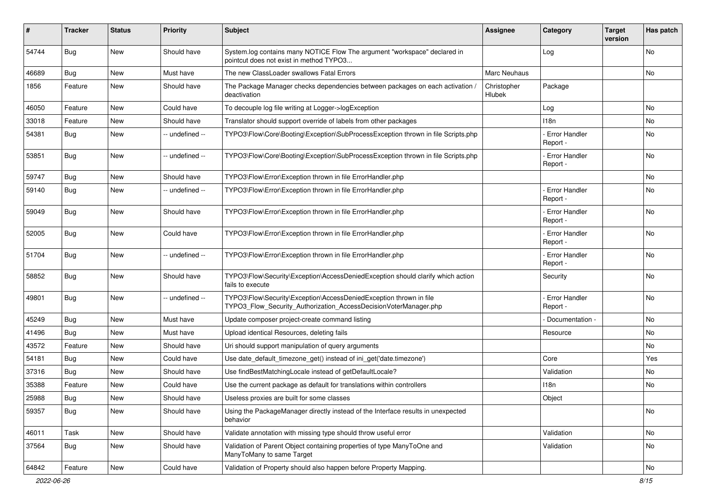| #     | <b>Tracker</b> | <b>Status</b> | <b>Priority</b> | <b>Subject</b>                                                                                                                         | <b>Assignee</b>              | Category                         | <b>Target</b><br>version | Has patch |
|-------|----------------|---------------|-----------------|----------------------------------------------------------------------------------------------------------------------------------------|------------------------------|----------------------------------|--------------------------|-----------|
| 54744 | Bug            | New           | Should have     | System.log contains many NOTICE Flow The argument "workspace" declared in<br>pointcut does not exist in method TYPO3                   |                              | Log                              |                          | No        |
| 46689 | Bug            | <b>New</b>    | Must have       | The new ClassLoader swallows Fatal Errors                                                                                              | Marc Neuhaus                 |                                  |                          | No        |
| 1856  | Feature        | New           | Should have     | The Package Manager checks dependencies between packages on each activation /<br>deactivation                                          | Christopher<br><b>Hlubek</b> | Package                          |                          |           |
| 46050 | Feature        | New           | Could have      | To decouple log file writing at Logger->logException                                                                                   |                              | Log                              |                          | <b>No</b> |
| 33018 | Feature        | New           | Should have     | Translator should support override of labels from other packages                                                                       |                              | 118n                             |                          | No        |
| 54381 | <b>Bug</b>     | New           | -- undefined -- | TYPO3\Flow\Core\Booting\Exception\SubProcessException thrown in file Scripts.php                                                       |                              | <b>Error Handler</b><br>Report - |                          | No        |
| 53851 | Bug            | New           | -- undefined -- | TYPO3\Flow\Core\Booting\Exception\SubProcessException thrown in file Scripts.php                                                       |                              | <b>Error Handler</b><br>Report - |                          | No.       |
| 59747 | Bug            | New           | Should have     | TYPO3\Flow\Error\Exception thrown in file ErrorHandler.php                                                                             |                              |                                  |                          | No        |
| 59140 | Bug            | New           | -- undefined -- | TYPO3\Flow\Error\Exception thrown in file ErrorHandler.php                                                                             |                              | <b>Error Handler</b><br>Report - |                          | No        |
| 59049 | Bug            | New           | Should have     | TYPO3\Flow\Error\Exception thrown in file ErrorHandler.php                                                                             |                              | - Error Handler<br>Report -      |                          | <b>No</b> |
| 52005 | Bug            | <b>New</b>    | Could have      | TYPO3\Flow\Error\Exception thrown in file ErrorHandler.php                                                                             |                              | Error Handler<br>Report -        |                          | No        |
| 51704 | Bug            | <b>New</b>    | -- undefined -- | TYPO3\Flow\Error\Exception thrown in file ErrorHandler.php                                                                             |                              | <b>Error Handler</b><br>Report - |                          | No        |
| 58852 | <b>Bug</b>     | New           | Should have     | TYPO3\Flow\Security\Exception\AccessDeniedException should clarify which action<br>fails to execute                                    |                              | Security                         |                          | No        |
| 49801 | <b>Bug</b>     | New           | -- undefined -- | TYPO3\Flow\Security\Exception\AccessDeniedException thrown in file<br>TYPO3_Flow_Security_Authorization_AccessDecisionVoterManager.php |                              | <b>Error Handler</b><br>Report - |                          | No        |
| 45249 | Bug            | New           | Must have       | Update composer project-create command listing                                                                                         |                              | Documentation -                  |                          | No        |
| 41496 | <b>Bug</b>     | <b>New</b>    | Must have       | Upload identical Resources, deleting fails                                                                                             |                              | Resource                         |                          | No        |
| 43572 | Feature        | New           | Should have     | Uri should support manipulation of query arguments                                                                                     |                              |                                  |                          | No        |
| 54181 | Bug            | New           | Could have      | Use date_default_timezone_get() instead of ini_get('date.timezone')                                                                    |                              | Core                             |                          | Yes       |
| 37316 | Bug            | New           | Should have     | Use findBestMatchingLocale instead of getDefaultLocale?                                                                                |                              | Validation                       |                          | No        |
| 35388 | Feature        | New           | Could have      | Use the current package as default for translations within controllers                                                                 |                              | 118n                             |                          | No        |
| 25988 | <b>Bug</b>     | New           | Should have     | Useless proxies are built for some classes                                                                                             |                              | Object                           |                          |           |
| 59357 | Bug            | New           | Should have     | Using the PackageManager directly instead of the Interface results in unexpected<br>behavior                                           |                              |                                  |                          | No        |
| 46011 | Task           | New           | Should have     | Validate annotation with missing type should throw useful error                                                                        |                              | Validation                       |                          | No        |
| 37564 | <b>Bug</b>     | New           | Should have     | Validation of Parent Object containing properties of type ManyToOne and<br>ManyToMany to same Target                                   |                              | Validation                       |                          | No        |
| 64842 | Feature        | New           | Could have      | Validation of Property should also happen before Property Mapping.                                                                     |                              |                                  |                          | No        |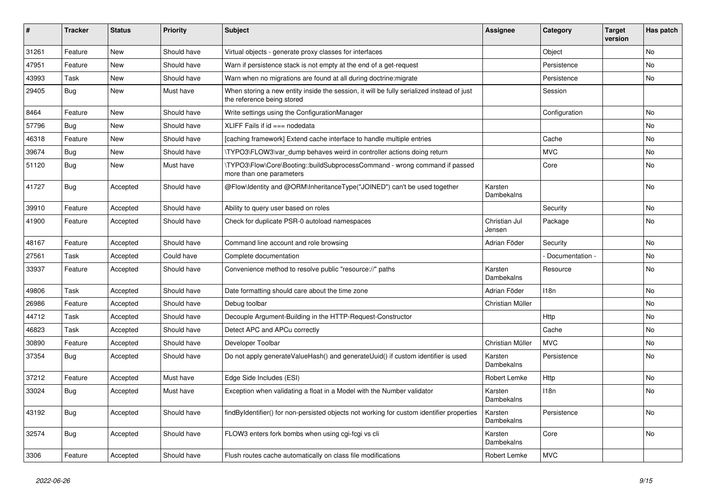| ∦     | <b>Tracker</b> | <b>Status</b> | <b>Priority</b> | <b>Subject</b>                                                                                                          | <b>Assignee</b>         | Category        | <b>Target</b><br>version | Has patch |
|-------|----------------|---------------|-----------------|-------------------------------------------------------------------------------------------------------------------------|-------------------------|-----------------|--------------------------|-----------|
| 31261 | Feature        | <b>New</b>    | Should have     | Virtual objects - generate proxy classes for interfaces                                                                 |                         | Object          |                          | <b>No</b> |
| 47951 | Feature        | New           | Should have     | Warn if persistence stack is not empty at the end of a get-request                                                      |                         | Persistence     |                          | <b>No</b> |
| 43993 | Task           | <b>New</b>    | Should have     | Warn when no migrations are found at all during doctrine: migrate                                                       |                         | Persistence     |                          | No        |
| 29405 | Bug            | <b>New</b>    | Must have       | When storing a new entity inside the session, it will be fully serialized instead of just<br>the reference being stored |                         | Session         |                          |           |
| 8464  | Feature        | <b>New</b>    | Should have     | Write settings using the ConfigurationManager                                                                           |                         | Configuration   |                          | <b>No</b> |
| 57796 | Bug            | <b>New</b>    | Should have     | XLIFF Fails if $id ==$ nodedata                                                                                         |                         |                 |                          | No        |
| 46318 | Feature        | New           | Should have     | [caching framework] Extend cache interface to handle multiple entries                                                   |                         | Cache           |                          | No        |
| 39674 | Bug            | <b>New</b>    | Should have     | TYPO3\FLOW3\var dump behaves weird in controller actions doing return                                                   |                         | <b>MVC</b>      |                          | No        |
| 51120 | Bug            | <b>New</b>    | Must have       | \TYPO3\Flow\Core\Booting::buildSubprocessCommand - wrong command if passed<br>more than one parameters                  |                         | Core            |                          | No        |
| 41727 | Bug            | Accepted      | Should have     | @Flow\Identity and @ORM\InheritanceType("JOINED") can't be used together                                                | Karsten<br>Dambekalns   |                 |                          | <b>No</b> |
| 39910 | Feature        | Accepted      | Should have     | Ability to query user based on roles                                                                                    |                         | Security        |                          | No        |
| 41900 | Feature        | Accepted      | Should have     | Check for duplicate PSR-0 autoload namespaces                                                                           | Christian Jul<br>Jensen | Package         |                          | <b>No</b> |
| 48167 | Feature        | Accepted      | Should have     | Command line account and role browsing                                                                                  | Adrian Föder            | Security        |                          | No        |
| 27561 | Task           | Accepted      | Could have      | Complete documentation                                                                                                  |                         | Documentation - |                          | No        |
| 33937 | Feature        | Accepted      | Should have     | Convenience method to resolve public "resource://" paths                                                                | Karsten<br>Dambekalns   | Resource        |                          | <b>No</b> |
| 49806 | Task           | Accepted      | Should have     | Date formatting should care about the time zone                                                                         | Adrian Föder            | 118n            |                          | No        |
| 26986 | Feature        | Accepted      | Should have     | Debug toolbar                                                                                                           | Christian Müller        |                 |                          | <b>No</b> |
| 44712 | Task           | Accepted      | Should have     | Decouple Argument-Building in the HTTP-Request-Constructor                                                              |                         | <b>Http</b>     |                          | <b>No</b> |
| 46823 | Task           | Accepted      | Should have     | Detect APC and APCu correctly                                                                                           |                         | Cache           |                          | No        |
| 30890 | Feature        | Accepted      | Should have     | Developer Toolbar                                                                                                       | Christian Müller        | <b>MVC</b>      |                          | No        |
| 37354 | <b>Bug</b>     | Accepted      | Should have     | Do not apply generateValueHash() and generateUuid() if custom identifier is used                                        | Karsten<br>Dambekalns   | Persistence     |                          | No        |
| 37212 | Feature        | Accepted      | Must have       | Edge Side Includes (ESI)                                                                                                | Robert Lemke            | Http            |                          | <b>No</b> |
| 33024 | Bug            | Accepted      | Must have       | Exception when validating a float in a Model with the Number validator                                                  | Karsten<br>Dambekalns   | 118n            |                          | <b>No</b> |
| 43192 | Bug            | Accepted      | Should have     | findByIdentifier() for non-persisted objects not working for custom identifier properties                               | Karsten<br>Dambekalns   | Persistence     |                          | No        |
| 32574 | <b>Bug</b>     | Accepted      | Should have     | FLOW3 enters fork bombs when using cgi-fcgi vs cli                                                                      | Karsten<br>Dambekalns   | Core            |                          | <b>No</b> |
| 3306  | Feature        | Accepted      | Should have     | Flush routes cache automatically on class file modifications                                                            | Robert Lemke            | <b>MVC</b>      |                          |           |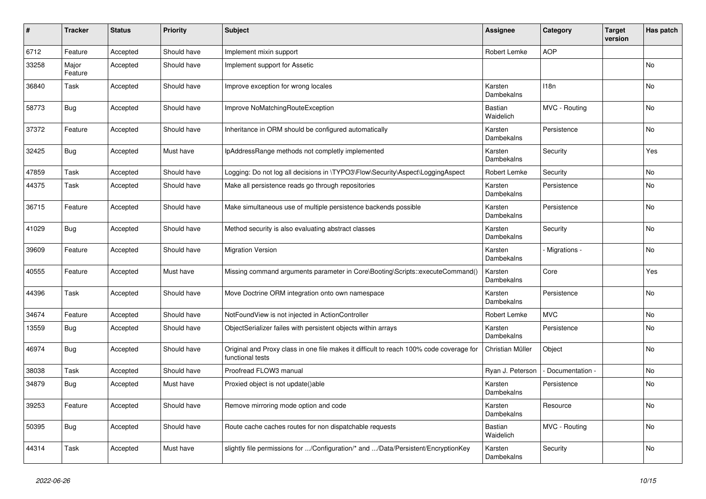| ∦     | <b>Tracker</b>   | <b>Status</b> | <b>Priority</b> | <b>Subject</b>                                                                                              | <b>Assignee</b>             | Category        | <b>Target</b><br>version | Has patch |
|-------|------------------|---------------|-----------------|-------------------------------------------------------------------------------------------------------------|-----------------------------|-----------------|--------------------------|-----------|
| 6712  | Feature          | Accepted      | Should have     | Implement mixin support                                                                                     | Robert Lemke                | <b>AOP</b>      |                          |           |
| 33258 | Major<br>Feature | Accepted      | Should have     | Implement support for Assetic                                                                               |                             |                 |                          | No        |
| 36840 | Task             | Accepted      | Should have     | Improve exception for wrong locales                                                                         | Karsten<br>Dambekalns       | 118n            |                          | No        |
| 58773 | <b>Bug</b>       | Accepted      | Should have     | Improve NoMatchingRouteException                                                                            | <b>Bastian</b><br>Waidelich | MVC - Routing   |                          | No        |
| 37372 | Feature          | Accepted      | Should have     | Inheritance in ORM should be configured automatically                                                       | Karsten<br>Dambekalns       | Persistence     |                          | No        |
| 32425 | Bug              | Accepted      | Must have       | IpAddressRange methods not completly implemented                                                            | Karsten<br>Dambekalns       | Security        |                          | Yes       |
| 47859 | Task             | Accepted      | Should have     | Logging: Do not log all decisions in \TYPO3\Flow\Security\Aspect\LoggingAspect                              | Robert Lemke                | Security        |                          | No        |
| 44375 | Task             | Accepted      | Should have     | Make all persistence reads go through repositories                                                          | Karsten<br>Dambekalns       | Persistence     |                          | No        |
| 36715 | Feature          | Accepted      | Should have     | Make simultaneous use of multiple persistence backends possible                                             | Karsten<br>Dambekalns       | Persistence     |                          | No        |
| 41029 | Bug              | Accepted      | Should have     | Method security is also evaluating abstract classes                                                         | Karsten<br>Dambekalns       | Security        |                          | No        |
| 39609 | Feature          | Accepted      | Should have     | <b>Migration Version</b>                                                                                    | Karsten<br>Dambekalns       | - Migrations -  |                          | No        |
| 40555 | Feature          | Accepted      | Must have       | Missing command arguments parameter in Core\Booting\Scripts::executeCommand()                               | Karsten<br>Dambekalns       | Core            |                          | Yes       |
| 44396 | Task             | Accepted      | Should have     | Move Doctrine ORM integration onto own namespace                                                            | Karsten<br>Dambekalns       | Persistence     |                          | No        |
| 34674 | Feature          | Accepted      | Should have     | NotFoundView is not injected in ActionController                                                            | Robert Lemke                | <b>MVC</b>      |                          | No        |
| 13559 | Bug              | Accepted      | Should have     | ObjectSerializer failes with persistent objects within arrays                                               | Karsten<br>Dambekalns       | Persistence     |                          | No        |
| 46974 | <b>Bug</b>       | Accepted      | Should have     | Original and Proxy class in one file makes it difficult to reach 100% code coverage for<br>functional tests | Christian Müller            | Object          |                          | No        |
| 38038 | Task             | Accepted      | Should have     | Proofread FLOW3 manual                                                                                      | Ryan J. Peterson            | Documentation - |                          | No        |
| 34879 | Bug              | Accepted      | Must have       | Proxied object is not update()able                                                                          | Karsten<br>Dambekalns       | Persistence     |                          | No        |
| 39253 | Feature          | Accepted      | Should have     | Remove mirroring mode option and code                                                                       | Karsten<br>Dambekalns       | Resource        |                          | No        |
| 50395 | Bug              | Accepted      | Should have     | Route cache caches routes for non dispatchable requests                                                     | Bastian<br>Waidelich        | MVC - Routing   |                          | No        |
| 44314 | Task             | Accepted      | Must have       | slightly file permissions for /Configuration/* and /Data/Persistent/EncryptionKey                           | Karsten<br>Dambekalns       | Security        |                          | No        |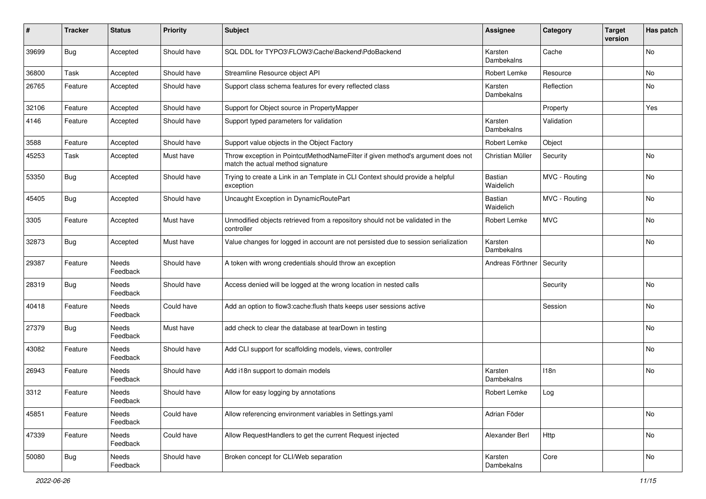| #     | <b>Tracker</b> | <b>Status</b>            | <b>Priority</b> | <b>Subject</b>                                                                                                       | Assignee              | Category      | <b>Target</b><br>version | Has patch |
|-------|----------------|--------------------------|-----------------|----------------------------------------------------------------------------------------------------------------------|-----------------------|---------------|--------------------------|-----------|
| 39699 | Bug            | Accepted                 | Should have     | SQL DDL for TYPO3\FLOW3\Cache\Backend\PdoBackend                                                                     | Karsten<br>Dambekalns | Cache         |                          | No        |
| 36800 | Task           | Accepted                 | Should have     | Streamline Resource object API                                                                                       | Robert Lemke          | Resource      |                          | No        |
| 26765 | Feature        | Accepted                 | Should have     | Support class schema features for every reflected class                                                              | Karsten<br>Dambekalns | Reflection    |                          | No        |
| 32106 | Feature        | Accepted                 | Should have     | Support for Object source in PropertyMapper                                                                          |                       | Property      |                          | Yes       |
| 4146  | Feature        | Accepted                 | Should have     | Support typed parameters for validation                                                                              | Karsten<br>Dambekalns | Validation    |                          |           |
| 3588  | Feature        | Accepted                 | Should have     | Support value objects in the Object Factory                                                                          | Robert Lemke          | Object        |                          |           |
| 45253 | Task           | Accepted                 | Must have       | Throw exception in PointcutMethodNameFilter if given method's argument does not<br>match the actual method signature | Christian Müller      | Security      |                          | No        |
| 53350 | Bug            | Accepted                 | Should have     | Trying to create a Link in an Template in CLI Context should provide a helpful<br>exception                          | Bastian<br>Waidelich  | MVC - Routing |                          | No        |
| 45405 | Bug            | Accepted                 | Should have     | Uncaught Exception in DynamicRoutePart                                                                               | Bastian<br>Waidelich  | MVC - Routing |                          | No        |
| 3305  | Feature        | Accepted                 | Must have       | Unmodified objects retrieved from a repository should not be validated in the<br>controller                          | Robert Lemke          | <b>MVC</b>    |                          | No        |
| 32873 | Bug            | Accepted                 | Must have       | Value changes for logged in account are not persisted due to session serialization                                   | Karsten<br>Dambekalns |               |                          | No        |
| 29387 | Feature        | <b>Needs</b><br>Feedback | Should have     | A token with wrong credentials should throw an exception                                                             | Andreas Förthner      | Security      |                          |           |
| 28319 | <b>Bug</b>     | Needs<br>Feedback        | Should have     | Access denied will be logged at the wrong location in nested calls                                                   |                       | Security      |                          | <b>No</b> |
| 40418 | Feature        | Needs<br>Feedback        | Could have      | Add an option to flow3:cache:flush thats keeps user sessions active                                                  |                       | Session       |                          | No        |
| 27379 | Bug            | Needs<br>Feedback        | Must have       | add check to clear the database at tearDown in testing                                                               |                       |               |                          | No        |
| 43082 | Feature        | Needs<br>Feedback        | Should have     | Add CLI support for scaffolding models, views, controller                                                            |                       |               |                          | No        |
| 26943 | Feature        | Needs<br>Feedback        | Should have     | Add i18n support to domain models                                                                                    | Karsten<br>Dambekalns | 118n          |                          | No        |
| 3312  | Feature        | Needs<br>Feedback        | Should have     | Allow for easy logging by annotations                                                                                | Robert Lemke          | Log           |                          |           |
| 45851 | Feature        | Needs<br>Feedback        | Could have      | Allow referencing environment variables in Settings.yaml                                                             | Adrian Föder          |               |                          | No        |
| 47339 | Feature        | Needs<br>Feedback        | Could have      | Allow RequestHandlers to get the current Request injected                                                            | Alexander Berl        | Http          |                          | No        |
| 50080 | <b>Bug</b>     | Needs<br>Feedback        | Should have     | Broken concept for CLI/Web separation                                                                                | Karsten<br>Dambekalns | Core          |                          | No        |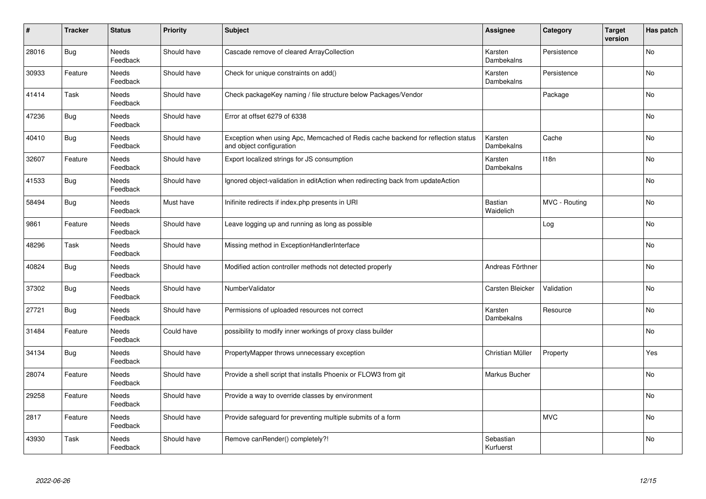| $\sharp$ | <b>Tracker</b> | <b>Status</b>            | <b>Priority</b> | <b>Subject</b>                                                                                               | <b>Assignee</b>        | Category      | <b>Target</b><br>version | Has patch      |
|----------|----------------|--------------------------|-----------------|--------------------------------------------------------------------------------------------------------------|------------------------|---------------|--------------------------|----------------|
| 28016    | Bug            | Needs<br>Feedback        | Should have     | Cascade remove of cleared ArrayCollection                                                                    | Karsten<br>Dambekalns  | Persistence   |                          | <b>No</b>      |
| 30933    | Feature        | Needs<br>Feedback        | Should have     | Check for unique constraints on add()                                                                        | Karsten<br>Dambekalns  | Persistence   |                          | No             |
| 41414    | Task           | Needs<br>Feedback        | Should have     | Check packageKey naming / file structure below Packages/Vendor                                               |                        | Package       |                          | <b>No</b>      |
| 47236    | Bug            | Needs<br>Feedback        | Should have     | Error at offset 6279 of 6338                                                                                 |                        |               |                          | No             |
| 40410    | <b>Bug</b>     | <b>Needs</b><br>Feedback | Should have     | Exception when using Apc, Memcached of Redis cache backend for reflection status<br>and object configuration | Karsten<br>Dambekalns  | Cache         |                          | <b>No</b>      |
| 32607    | Feature        | Needs<br>Feedback        | Should have     | Export localized strings for JS consumption                                                                  | Karsten<br>Dambekalns  | 118n          |                          | No             |
| 41533    | <b>Bug</b>     | Needs<br>Feedback        | Should have     | Ignored object-validation in editAction when redirecting back from updateAction                              |                        |               |                          | No             |
| 58494    | Bug            | Needs<br>Feedback        | Must have       | Inifinite redirects if index.php presents in URI                                                             | Bastian<br>Waidelich   | MVC - Routing |                          | No             |
| 9861     | Feature        | Needs<br>Feedback        | Should have     | Leave logging up and running as long as possible                                                             |                        | Log           |                          | <b>No</b>      |
| 48296    | Task           | <b>Needs</b><br>Feedback | Should have     | Missing method in ExceptionHandlerInterface                                                                  |                        |               |                          | <b>No</b>      |
| 40824    | Bug            | Needs<br>Feedback        | Should have     | Modified action controller methods not detected properly                                                     | Andreas Förthner       |               |                          | No             |
| 37302    | Bug            | Needs<br>Feedback        | Should have     | NumberValidator                                                                                              | Carsten Bleicker       | Validation    |                          | <b>No</b>      |
| 27721    | Bug            | <b>Needs</b><br>Feedback | Should have     | Permissions of uploaded resources not correct                                                                | Karsten<br>Dambekalns  | Resource      |                          | <b>No</b>      |
| 31484    | Feature        | Needs<br>Feedback        | Could have      | possibility to modify inner workings of proxy class builder                                                  |                        |               |                          | No             |
| 34134    | Bug            | Needs<br>Feedback        | Should have     | PropertyMapper throws unnecessary exception                                                                  | Christian Müller       | Property      |                          | Yes            |
| 28074    | Feature        | Needs<br>Feedback        | Should have     | Provide a shell script that installs Phoenix or FLOW3 from git                                               | Markus Bucher          |               |                          | No             |
| 29258    | Feature        | <b>Needs</b><br>Feedback | Should have     | Provide a way to override classes by environment                                                             |                        |               |                          | <b>No</b>      |
| 2817     | Feature        | Needs<br>Feedback        | Should have     | Provide safeguard for preventing multiple submits of a form                                                  |                        | <b>MVC</b>    |                          | N <sub>o</sub> |
| 43930    | Task           | Needs<br>Feedback        | Should have     | Remove canRender() completely?!                                                                              | Sebastian<br>Kurfuerst |               |                          | No             |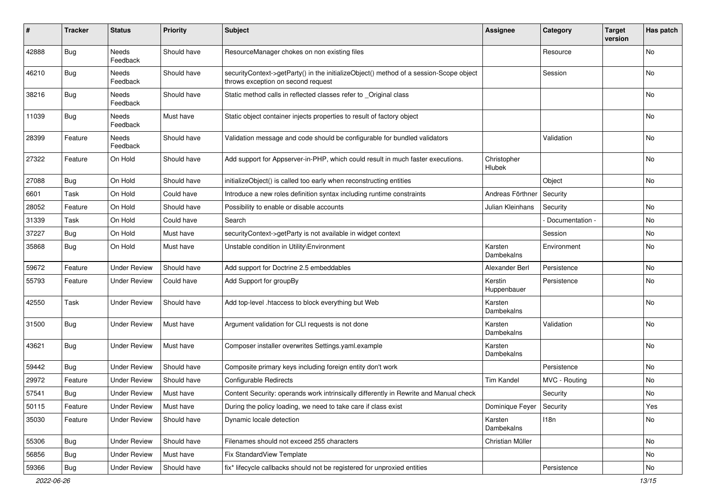| #     | <b>Tracker</b> | <b>Status</b>            | <b>Priority</b> | <b>Subject</b>                                                                                                               | Assignee               | Category        | <b>Target</b><br>version | Has patch |
|-------|----------------|--------------------------|-----------------|------------------------------------------------------------------------------------------------------------------------------|------------------------|-----------------|--------------------------|-----------|
| 42888 | <b>Bug</b>     | Needs<br>Feedback        | Should have     | ResourceManager chokes on non existing files                                                                                 |                        | Resource        |                          | No        |
| 46210 | Bug            | Needs<br>Feedback        | Should have     | securityContext->getParty() in the initializeObject() method of a session-Scope object<br>throws exception on second request |                        | Session         |                          | No        |
| 38216 | Bug            | Needs<br>Feedback        | Should have     | Static method calls in reflected classes refer to _Original class                                                            |                        |                 |                          | No        |
| 11039 | Bug            | Needs<br>Feedback        | Must have       | Static object container injects properties to result of factory object                                                       |                        |                 |                          | <b>No</b> |
| 28399 | Feature        | <b>Needs</b><br>Feedback | Should have     | Validation message and code should be configurable for bundled validators                                                    |                        | Validation      |                          | No        |
| 27322 | Feature        | On Hold                  | Should have     | Add support for Appserver-in-PHP, which could result in much faster executions.                                              | Christopher<br>Hlubek  |                 |                          | <b>No</b> |
| 27088 | Bug            | On Hold                  | Should have     | initializeObject() is called too early when reconstructing entities                                                          |                        | Object          |                          | No        |
| 6601  | Task           | On Hold                  | Could have      | Introduce a new roles definition syntax including runtime constraints                                                        | Andreas Förthner       | Security        |                          |           |
| 28052 | Feature        | On Hold                  | Should have     | Possibility to enable or disable accounts                                                                                    | Julian Kleinhans       | Security        |                          | <b>No</b> |
| 31339 | Task           | On Hold                  | Could have      | Search                                                                                                                       |                        | Documentation - |                          | No        |
| 37227 | Bug            | On Hold                  | Must have       | securityContext->getParty is not available in widget context                                                                 |                        | Session         |                          | No        |
| 35868 | Bug            | On Hold                  | Must have       | Unstable condition in Utility\Environment                                                                                    | Karsten<br>Dambekalns  | Environment     |                          | No        |
| 59672 | Feature        | <b>Under Review</b>      | Should have     | Add support for Doctrine 2.5 embeddables                                                                                     | Alexander Berl         | Persistence     |                          | No        |
| 55793 | Feature        | <b>Under Review</b>      | Could have      | Add Support for groupBy                                                                                                      | Kerstin<br>Huppenbauer | Persistence     |                          | No        |
| 42550 | Task           | <b>Under Review</b>      | Should have     | Add top-level .htaccess to block everything but Web                                                                          | Karsten<br>Dambekalns  |                 |                          | No        |
| 31500 | <b>Bug</b>     | <b>Under Review</b>      | Must have       | Argument validation for CLI requests is not done                                                                             | Karsten<br>Dambekalns  | Validation      |                          | No        |
| 43621 | Bug            | <b>Under Review</b>      | Must have       | Composer installer overwrites Settings.yaml.example                                                                          | Karsten<br>Dambekalns  |                 |                          | No        |
| 59442 | Bug            | <b>Under Review</b>      | Should have     | Composite primary keys including foreign entity don't work                                                                   |                        | Persistence     |                          | No        |
| 29972 | Feature        | <b>Under Review</b>      | Should have     | <b>Configurable Redirects</b>                                                                                                | <b>Tim Kandel</b>      | MVC - Routing   |                          | No        |
| 57541 | <b>Bug</b>     | <b>Under Review</b>      | Must have       | Content Security: operands work intrinsically differently in Rewrite and Manual check                                        |                        | Security        |                          | No        |
| 50115 | Feature        | <b>Under Review</b>      | Must have       | During the policy loading, we need to take care if class exist                                                               | Dominique Feyer        | Security        |                          | Yes       |
| 35030 | Feature        | <b>Under Review</b>      | Should have     | Dynamic locale detection                                                                                                     | Karsten<br>Dambekalns  | 118n            |                          | No        |
| 55306 | <b>Bug</b>     | <b>Under Review</b>      | Should have     | Filenames should not exceed 255 characters                                                                                   | Christian Müller       |                 |                          | No        |
| 56856 | Bug            | <b>Under Review</b>      | Must have       | Fix StandardView Template                                                                                                    |                        |                 |                          | No        |
| 59366 | <b>Bug</b>     | <b>Under Review</b>      | Should have     | fix* lifecycle callbacks should not be registered for unproxied entities                                                     |                        | Persistence     |                          | No        |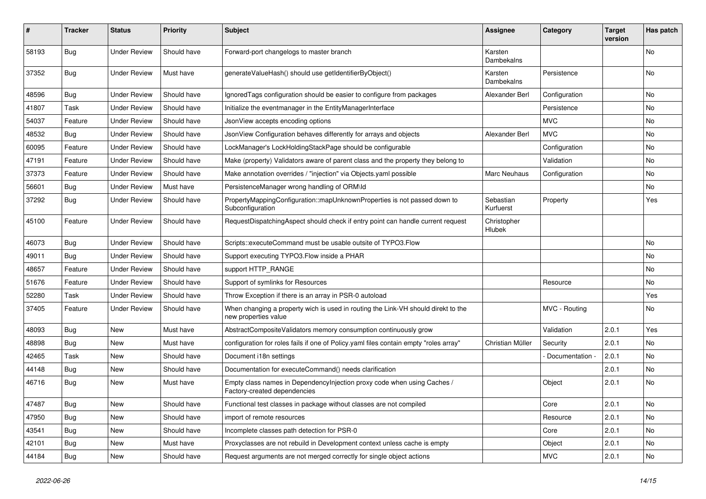| #     | <b>Tracker</b> | <b>Status</b>       | <b>Priority</b> | <b>Subject</b>                                                                                            | <b>Assignee</b>        | Category        | <b>Target</b><br>version | Has patch |
|-------|----------------|---------------------|-----------------|-----------------------------------------------------------------------------------------------------------|------------------------|-----------------|--------------------------|-----------|
| 58193 | <b>Bug</b>     | <b>Under Review</b> | Should have     | Forward-port changelogs to master branch                                                                  | Karsten<br>Dambekalns  |                 |                          | <b>No</b> |
| 37352 | Bug            | Under Review        | Must have       | generateValueHash() should use getIdentifierByObject()                                                    | Karsten<br>Dambekalns  | Persistence     |                          | No        |
| 48596 | Bug            | <b>Under Review</b> | Should have     | Ignored Tags configuration should be easier to configure from packages                                    | Alexander Berl         | Configuration   |                          | No        |
| 41807 | Task           | <b>Under Review</b> | Should have     | Initialize the eventmanager in the EntityManagerInterface                                                 |                        | Persistence     |                          | <b>No</b> |
| 54037 | Feature        | <b>Under Review</b> | Should have     | JsonView accepts encoding options                                                                         |                        | <b>MVC</b>      |                          | No        |
| 48532 | Bug            | <b>Under Review</b> | Should have     | JsonView Configuration behaves differently for arrays and objects                                         | Alexander Berl         | <b>MVC</b>      |                          | No        |
| 60095 | Feature        | <b>Under Review</b> | Should have     | LockManager's LockHoldingStackPage should be configurable                                                 |                        | Configuration   |                          | No        |
| 47191 | Feature        | <b>Under Review</b> | Should have     | Make (property) Validators aware of parent class and the property they belong to                          |                        | Validation      |                          | <b>No</b> |
| 37373 | Feature        | <b>Under Review</b> | Should have     | Make annotation overrides / "injection" via Objects.yaml possible                                         | Marc Neuhaus           | Configuration   |                          | No        |
| 56601 | <b>Bug</b>     | <b>Under Review</b> | Must have       | PersistenceManager wrong handling of ORM\ld                                                               |                        |                 |                          | No        |
| 37292 | Bug            | <b>Under Review</b> | Should have     | PropertyMappingConfiguration::mapUnknownProperties is not passed down to<br>Subconfiguration              | Sebastian<br>Kurfuerst | Property        |                          | Yes       |
| 45100 | Feature        | <b>Under Review</b> | Should have     | RequestDispatchingAspect should check if entry point can handle current request                           | Christopher<br>Hlubek  |                 |                          |           |
| 46073 | Bug            | <b>Under Review</b> | Should have     | Scripts::executeCommand must be usable outsite of TYPO3.Flow                                              |                        |                 |                          | No        |
| 49011 | <b>Bug</b>     | <b>Under Review</b> | Should have     | Support executing TYPO3. Flow inside a PHAR                                                               |                        |                 |                          | No        |
| 48657 | Feature        | <b>Under Review</b> | Should have     | support HTTP_RANGE                                                                                        |                        |                 |                          | No        |
| 51676 | Feature        | <b>Under Review</b> | Should have     | Support of symlinks for Resources                                                                         |                        | Resource        |                          | No        |
| 52280 | Task           | <b>Under Review</b> | Should have     | Throw Exception if there is an array in PSR-0 autoload                                                    |                        |                 |                          | Yes       |
| 37405 | Feature        | <b>Under Review</b> | Should have     | When changing a property wich is used in routing the Link-VH should direkt to the<br>new properties value |                        | MVC - Routing   |                          | No        |
| 48093 | Bug            | <b>New</b>          | Must have       | AbstractCompositeValidators memory consumption continuously grow                                          |                        | Validation      | 2.0.1                    | Yes       |
| 48898 | Bug            | New                 | Must have       | configuration for roles fails if one of Policy yaml files contain empty "roles array"                     | Christian Müller       | Security        | 2.0.1                    | No        |
| 42465 | Task           | New                 | Should have     | Document i18n settings                                                                                    |                        | Documentation - | 2.0.1                    | <b>No</b> |
| 44148 | Bug            | New                 | Should have     | Documentation for executeCommand() needs clarification                                                    |                        |                 | 2.0.1                    | No        |
| 46716 | <b>Bug</b>     | New                 | Must have       | Empty class names in Dependencylnjection proxy code when using Caches /<br>Factory-created dependencies   |                        | Object          | 2.0.1                    | No        |
| 47487 | Bug            | New                 | Should have     | Functional test classes in package without classes are not compiled                                       |                        | Core            | 2.0.1                    | No        |
| 47950 | Bug            | New                 | Should have     | import of remote resources                                                                                |                        | Resource        | 2.0.1                    | No        |
| 43541 | <b>Bug</b>     | New                 | Should have     | Incomplete classes path detection for PSR-0                                                               |                        | Core            | 2.0.1                    | No        |
| 42101 | Bug            | New                 | Must have       | Proxyclasses are not rebuild in Development context unless cache is empty                                 |                        | Object          | 2.0.1                    | No        |
| 44184 | Bug            | New                 | Should have     | Request arguments are not merged correctly for single object actions                                      |                        | <b>MVC</b>      | 2.0.1                    | No        |